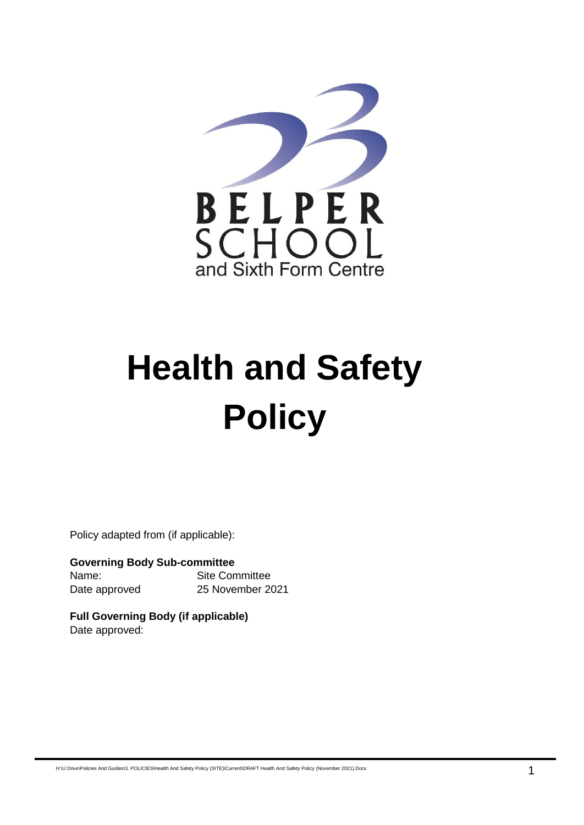

# **Health and Safety Policy**

Policy adapted from (if applicable):

**Governing Body Sub-committee** Name: Site Committee Date approved 25 November 2021

**Full Governing Body (if applicable)** Date approved:

H:\U Drive\Policies And Guides\3. POLICIES\Health And Safety Policy (SITE)\Current\DRAFT Health And Safety Policy (November 2021).Docx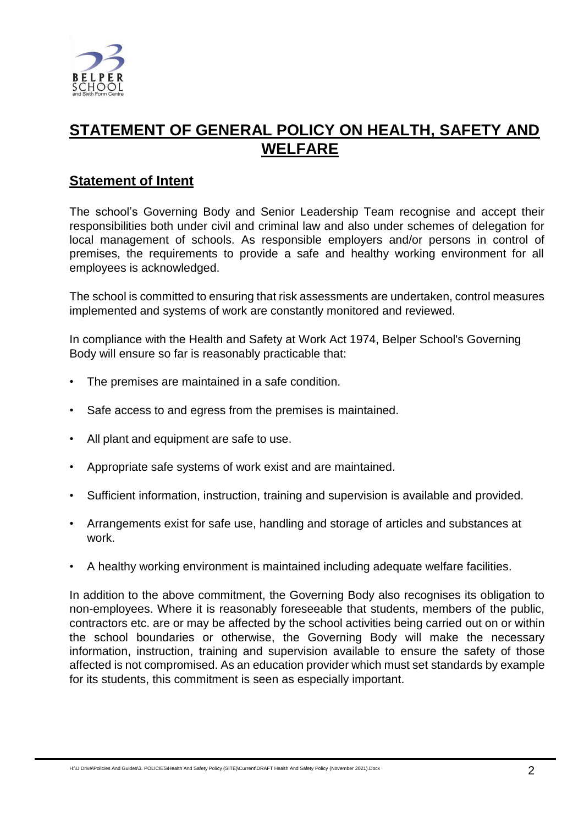

# **STATEMENT OF GENERAL POLICY ON HEALTH, SAFETY AND WELFARE**

# **Statement of Intent**

The school's Governing Body and Senior Leadership Team recognise and accept their responsibilities both under civil and criminal law and also under schemes of delegation for local management of schools. As responsible employers and/or persons in control of premises, the requirements to provide a safe and healthy working environment for all employees is acknowledged.

The school is committed to ensuring that risk assessments are undertaken, control measures implemented and systems of work are constantly monitored and reviewed.

In compliance with the Health and Safety at Work Act 1974, Belper School's Governing Body will ensure so far is reasonably practicable that:

- The premises are maintained in a safe condition.
- Safe access to and egress from the premises is maintained.
- All plant and equipment are safe to use.
- Appropriate safe systems of work exist and are maintained.
- Sufficient information, instruction, training and supervision is available and provided.
- Arrangements exist for safe use, handling and storage of articles and substances at work.
- A healthy working environment is maintained including adequate welfare facilities.

In addition to the above commitment, the Governing Body also recognises its obligation to non-employees. Where it is reasonably foreseeable that students, members of the public, contractors etc. are or may be affected by the school activities being carried out on or within the school boundaries or otherwise, the Governing Body will make the necessary information, instruction, training and supervision available to ensure the safety of those affected is not compromised. As an education provider which must set standards by example for its students, this commitment is seen as especially important.

H:\U Drive\Policies And Guides\3. POLICIES\Health And Safety Policy (SITE)\Current\DRAFT Health And Safety Policy (November 2021).Docx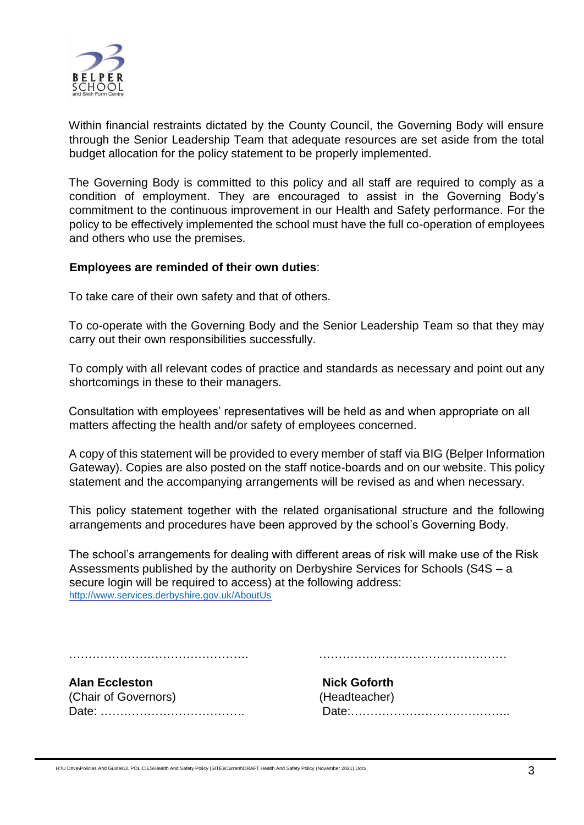

Within financial restraints dictated by the County Council, the Governing Body will ensure through the Senior Leadership Team that adequate resources are set aside from the total budget allocation for the policy statement to be properly implemented.

The Governing Body is committed to this policy and all staff are required to comply as a condition of employment. They are encouraged to assist in the Governing Body's commitment to the continuous improvement in our Health and Safety performance. For the policy to be effectively implemented the school must have the full co-operation of employees and others who use the premises.

#### **Employees are reminded of their own duties**:

To take care of their own safety and that of others.

To co-operate with the Governing Body and the Senior Leadership Team so that they may carry out their own responsibilities successfully.

To comply with all relevant codes of practice and standards as necessary and point out any shortcomings in these to their managers.

Consultation with employees' representatives will be held as and when appropriate on all matters affecting the health and/or safety of employees concerned.

A copy of this statement will be provided to every member of staff via BIG (Belper Information Gateway). Copies are also posted on the staff notice-boards and on our website. This policy statement and the accompanying arrangements will be revised as and when necessary.

This policy statement together with the related organisational structure and the following arrangements and procedures have been approved by the school's Governing Body.

The school's arrangements for dealing with different areas of risk will make use of the Risk Assessments published by the authority on Derbyshire Services for Schools (S4S – a secure login will be required to access) at the following address: <http://www.services.derbyshire.gov.uk/AboutUs>

………………………………………. …………………………………………

**Alan Eccleston Nick Goforth** (Chair of Governors) (Headteacher)

Date: ………………………………. Date:…………………………………..

H:\U Drive\Policies And Guides\3. POLICIES\Health And Safety Policy (SITE)\Current\DRAFT Health And Safety Policy (November 2021).Docx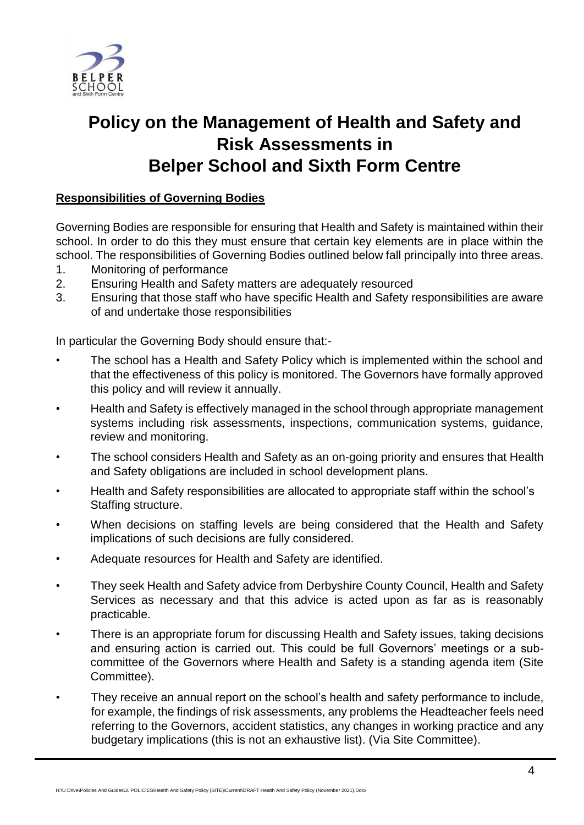

# **Policy on the Management of Health and Safety and Risk Assessments in Belper School and Sixth Form Centre**

# **Responsibilities of Governing Bodies**

Governing Bodies are responsible for ensuring that Health and Safety is maintained within their school. In order to do this they must ensure that certain key elements are in place within the school. The responsibilities of Governing Bodies outlined below fall principally into three areas.

- 1. Monitoring of performance
- 2. Ensuring Health and Safety matters are adequately resourced
- 3. Ensuring that those staff who have specific Health and Safety responsibilities are aware of and undertake those responsibilities

In particular the Governing Body should ensure that:-

- The school has a Health and Safety Policy which is implemented within the school and that the effectiveness of this policy is monitored. The Governors have formally approved this policy and will review it annually.
- Health and Safety is effectively managed in the school through appropriate management systems including risk assessments, inspections, communication systems, guidance, review and monitoring.
- The school considers Health and Safety as an on-going priority and ensures that Health and Safety obligations are included in school development plans.
- Health and Safety responsibilities are allocated to appropriate staff within the school's Staffing structure.
- When decisions on staffing levels are being considered that the Health and Safety implications of such decisions are fully considered.
- Adequate resources for Health and Safety are identified.
- They seek Health and Safety advice from Derbyshire County Council, Health and Safety Services as necessary and that this advice is acted upon as far as is reasonably practicable.
- There is an appropriate forum for discussing Health and Safety issues, taking decisions and ensuring action is carried out. This could be full Governors' meetings or a subcommittee of the Governors where Health and Safety is a standing agenda item (Site Committee).
- They receive an annual report on the school's health and safety performance to include, for example, the findings of risk assessments, any problems the Headteacher feels need referring to the Governors, accident statistics, any changes in working practice and any budgetary implications (this is not an exhaustive list). (Via Site Committee).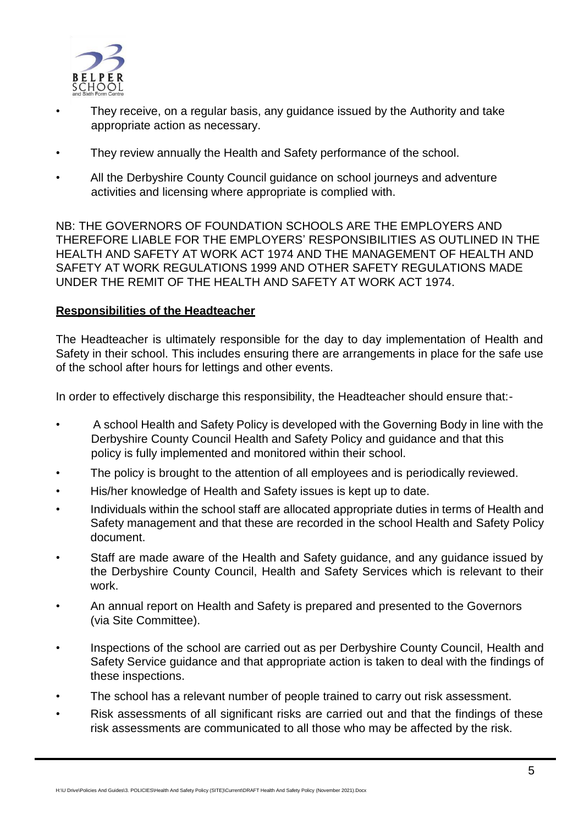

- They receive, on a regular basis, any guidance issued by the Authority and take appropriate action as necessary.
- They review annually the Health and Safety performance of the school.
- All the Derbyshire County Council guidance on school journeys and adventure activities and licensing where appropriate is complied with.

NB: THE GOVERNORS OF FOUNDATION SCHOOLS ARE THE EMPLOYERS AND THEREFORE LIABLE FOR THE EMPLOYERS' RESPONSIBILITIES AS OUTLINED IN THE HEALTH AND SAFETY AT WORK ACT 1974 AND THE MANAGEMENT OF HEALTH AND SAFETY AT WORK REGULATIONS 1999 AND OTHER SAFETY REGULATIONS MADE UNDER THE REMIT OF THE HEALTH AND SAFETY AT WORK ACT 1974.

# **Responsibilities of the Headteacher**

The Headteacher is ultimately responsible for the day to day implementation of Health and Safety in their school. This includes ensuring there are arrangements in place for the safe use of the school after hours for lettings and other events.

In order to effectively discharge this responsibility, the Headteacher should ensure that:-

- A school Health and Safety Policy is developed with the Governing Body in line with the Derbyshire County Council Health and Safety Policy and guidance and that this policy is fully implemented and monitored within their school.
- The policy is brought to the attention of all employees and is periodically reviewed.
- His/her knowledge of Health and Safety issues is kept up to date.
- Individuals within the school staff are allocated appropriate duties in terms of Health and Safety management and that these are recorded in the school Health and Safety Policy document.
- Staff are made aware of the Health and Safety guidance, and any guidance issued by the Derbyshire County Council, Health and Safety Services which is relevant to their work.
- An annual report on Health and Safety is prepared and presented to the Governors (via Site Committee).
- Inspections of the school are carried out as per Derbyshire County Council, Health and Safety Service guidance and that appropriate action is taken to deal with the findings of these inspections.
- The school has a relevant number of people trained to carry out risk assessment.
- Risk assessments of all significant risks are carried out and that the findings of these risk assessments are communicated to all those who may be affected by the risk.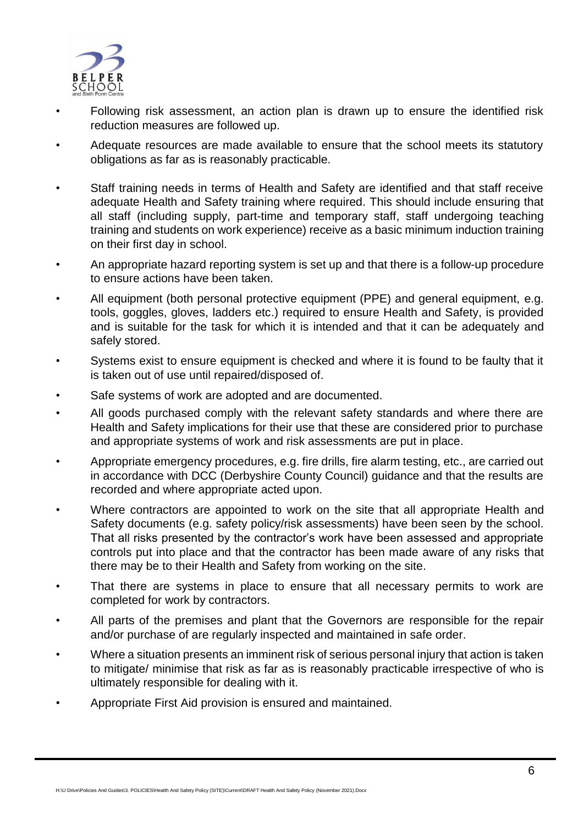

- Following risk assessment, an action plan is drawn up to ensure the identified risk reduction measures are followed up.
- Adequate resources are made available to ensure that the school meets its statutory obligations as far as is reasonably practicable.
- Staff training needs in terms of Health and Safety are identified and that staff receive adequate Health and Safety training where required. This should include ensuring that all staff (including supply, part-time and temporary staff, staff undergoing teaching training and students on work experience) receive as a basic minimum induction training on their first day in school.
- An appropriate hazard reporting system is set up and that there is a follow-up procedure to ensure actions have been taken.
- All equipment (both personal protective equipment (PPE) and general equipment, e.g. tools, goggles, gloves, ladders etc.) required to ensure Health and Safety, is provided and is suitable for the task for which it is intended and that it can be adequately and safely stored.
- Systems exist to ensure equipment is checked and where it is found to be faulty that it is taken out of use until repaired/disposed of.
- Safe systems of work are adopted and are documented.
- All goods purchased comply with the relevant safety standards and where there are Health and Safety implications for their use that these are considered prior to purchase and appropriate systems of work and risk assessments are put in place.
- Appropriate emergency procedures, e.g. fire drills, fire alarm testing, etc., are carried out in accordance with DCC (Derbyshire County Council) guidance and that the results are recorded and where appropriate acted upon.
- Where contractors are appointed to work on the site that all appropriate Health and Safety documents (e.g. safety policy/risk assessments) have been seen by the school. That all risks presented by the contractor's work have been assessed and appropriate controls put into place and that the contractor has been made aware of any risks that there may be to their Health and Safety from working on the site.
- That there are systems in place to ensure that all necessary permits to work are completed for work by contractors.
- All parts of the premises and plant that the Governors are responsible for the repair and/or purchase of are regularly inspected and maintained in safe order.
- Where a situation presents an imminent risk of serious personal injury that action is taken to mitigate/ minimise that risk as far as is reasonably practicable irrespective of who is ultimately responsible for dealing with it.
- Appropriate First Aid provision is ensured and maintained.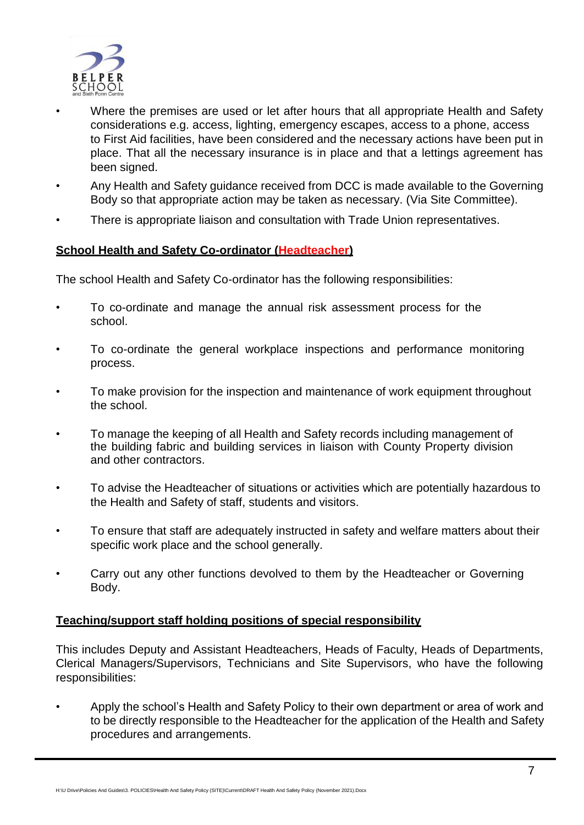

- Where the premises are used or let after hours that all appropriate Health and Safety considerations e.g. access, lighting, emergency escapes, access to a phone, access to First Aid facilities, have been considered and the necessary actions have been put in place. That all the necessary insurance is in place and that a lettings agreement has been signed.
- Any Health and Safety guidance received from DCC is made available to the Governing Body so that appropriate action may be taken as necessary. (Via Site Committee).
- There is appropriate liaison and consultation with Trade Union representatives.

# **School Health and Safety Co-ordinator (Headteacher)**

The school Health and Safety Co-ordinator has the following responsibilities:

- To co-ordinate and manage the annual risk assessment process for the school.
- To co-ordinate the general workplace inspections and performance monitoring process.
- To make provision for the inspection and maintenance of work equipment throughout the school.
- To manage the keeping of all Health and Safety records including management of the building fabric and building services in liaison with County Property division and other contractors.
- To advise the Headteacher of situations or activities which are potentially hazardous to the Health and Safety of staff, students and visitors.
- To ensure that staff are adequately instructed in safety and welfare matters about their specific work place and the school generally.
- Carry out any other functions devolved to them by the Headteacher or Governing Body.

# **Teaching/support staff holding positions of special responsibility**

This includes Deputy and Assistant Headteachers, Heads of Faculty, Heads of Departments, Clerical Managers/Supervisors, Technicians and Site Supervisors, who have the following responsibilities:

• Apply the school's Health and Safety Policy to their own department or area of work and to be directly responsible to the Headteacher for the application of the Health and Safety procedures and arrangements.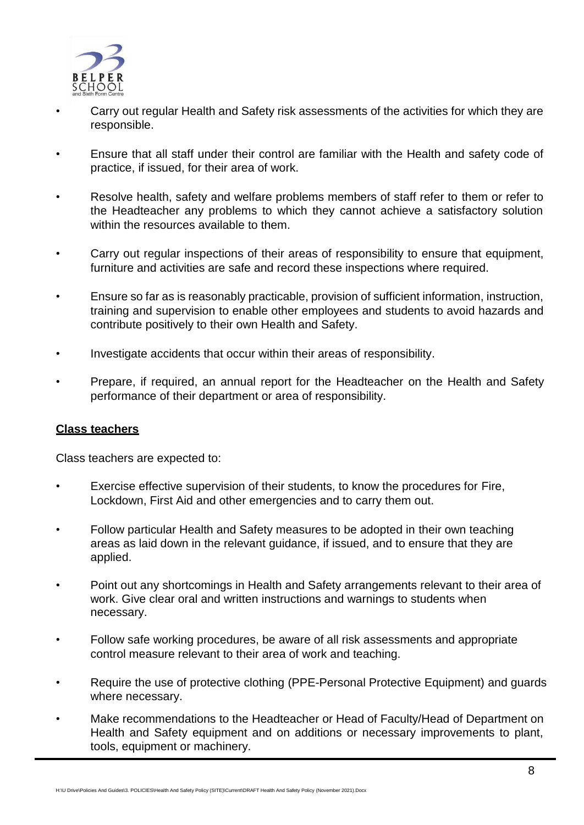

- Carry out regular Health and Safety risk assessments of the activities for which they are responsible.
- Ensure that all staff under their control are familiar with the Health and safety code of practice, if issued, for their area of work.
- Resolve health, safety and welfare problems members of staff refer to them or refer to the Headteacher any problems to which they cannot achieve a satisfactory solution within the resources available to them.
- Carry out regular inspections of their areas of responsibility to ensure that equipment, furniture and activities are safe and record these inspections where required.
- Ensure so far as is reasonably practicable, provision of sufficient information, instruction, training and supervision to enable other employees and students to avoid hazards and contribute positively to their own Health and Safety.
- Investigate accidents that occur within their areas of responsibility.
- Prepare, if required, an annual report for the Headteacher on the Health and Safety performance of their department or area of responsibility.

#### **Class teachers**

Class teachers are expected to:

- Exercise effective supervision of their students, to know the procedures for Fire, Lockdown, First Aid and other emergencies and to carry them out.
- Follow particular Health and Safety measures to be adopted in their own teaching areas as laid down in the relevant guidance, if issued, and to ensure that they are applied.
- Point out any shortcomings in Health and Safety arrangements relevant to their area of work. Give clear oral and written instructions and warnings to students when necessary.
- Follow safe working procedures, be aware of all risk assessments and appropriate control measure relevant to their area of work and teaching.
- Require the use of protective clothing (PPE-Personal Protective Equipment) and guards where necessary.
- Make recommendations to the Headteacher or Head of Faculty/Head of Department on Health and Safety equipment and on additions or necessary improvements to plant, tools, equipment or machinery.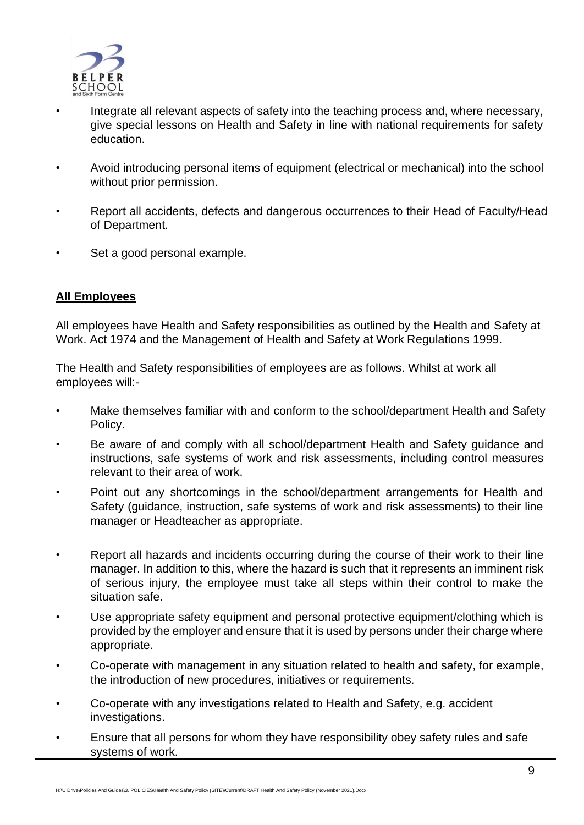

- Integrate all relevant aspects of safety into the teaching process and, where necessary, give special lessons on Health and Safety in line with national requirements for safety education.
- Avoid introducing personal items of equipment (electrical or mechanical) into the school without prior permission.
- Report all accidents, defects and dangerous occurrences to their Head of Faculty/Head of Department.
- Set a good personal example.

# **All Employees**

All employees have Health and Safety responsibilities as outlined by the Health and Safety at Work. Act 1974 and the Management of Health and Safety at Work Regulations 1999.

The Health and Safety responsibilities of employees are as follows. Whilst at work all employees will:-

- Make themselves familiar with and conform to the school/department Health and Safety Policy.
- Be aware of and comply with all school/department Health and Safety guidance and instructions, safe systems of work and risk assessments, including control measures relevant to their area of work.
- Point out any shortcomings in the school/department arrangements for Health and Safety (guidance, instruction, safe systems of work and risk assessments) to their line manager or Headteacher as appropriate.
- Report all hazards and incidents occurring during the course of their work to their line manager. In addition to this, where the hazard is such that it represents an imminent risk of serious injury, the employee must take all steps within their control to make the situation safe.
- Use appropriate safety equipment and personal protective equipment/clothing which is provided by the employer and ensure that it is used by persons under their charge where appropriate.
- Co-operate with management in any situation related to health and safety, for example, the introduction of new procedures, initiatives or requirements.
- Co-operate with any investigations related to Health and Safety, e.g. accident investigations.
- Ensure that all persons for whom they have responsibility obey safety rules and safe systems of work.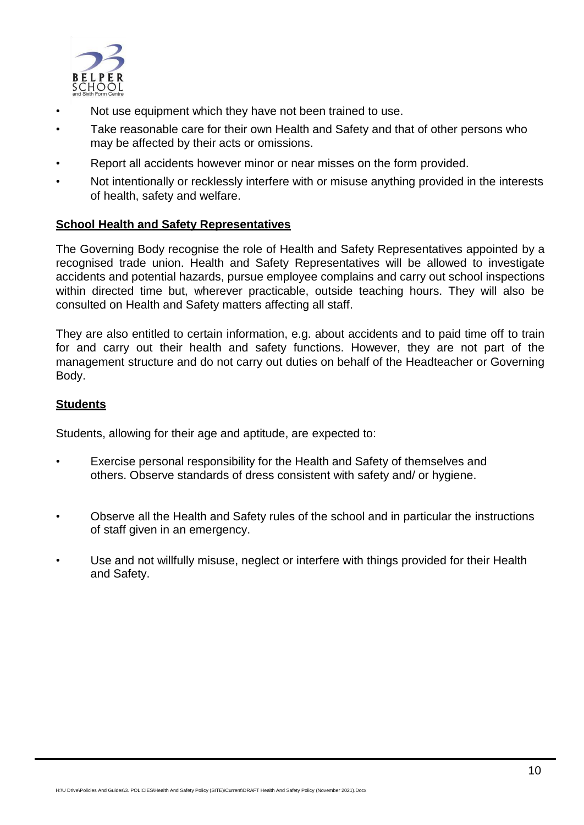

- Not use equipment which they have not been trained to use.
- Take reasonable care for their own Health and Safety and that of other persons who may be affected by their acts or omissions.
- Report all accidents however minor or near misses on the form provided.
- Not intentionally or recklessly interfere with or misuse anything provided in the interests of health, safety and welfare.

# **School Health and Safety Representatives**

The Governing Body recognise the role of Health and Safety Representatives appointed by a recognised trade union. Health and Safety Representatives will be allowed to investigate accidents and potential hazards, pursue employee complains and carry out school inspections within directed time but, wherever practicable, outside teaching hours. They will also be consulted on Health and Safety matters affecting all staff.

They are also entitled to certain information, e.g. about accidents and to paid time off to train for and carry out their health and safety functions. However, they are not part of the management structure and do not carry out duties on behalf of the Headteacher or Governing Body.

# **Students**

Students, allowing for their age and aptitude, are expected to:

- Exercise personal responsibility for the Health and Safety of themselves and others. Observe standards of dress consistent with safety and/ or hygiene.
- Observe all the Health and Safety rules of the school and in particular the instructions of staff given in an emergency.
- Use and not willfully misuse, neglect or interfere with things provided for their Health and Safety.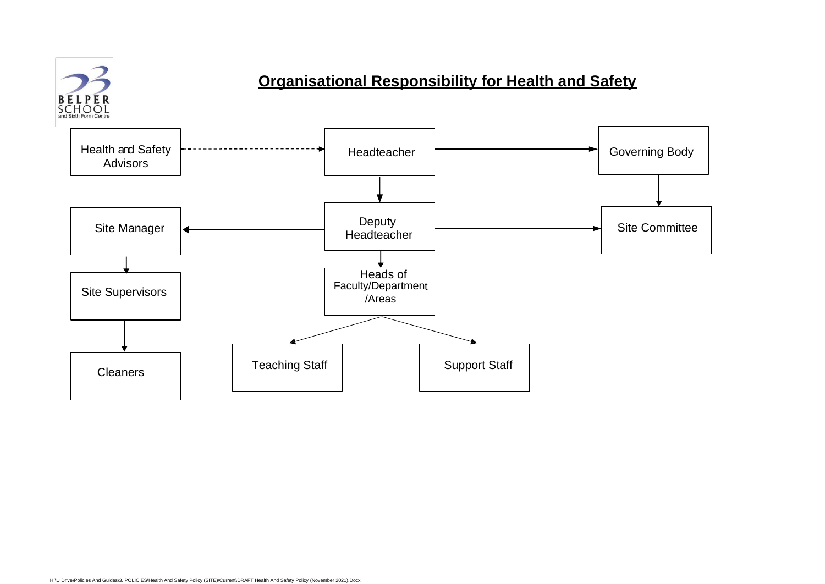# **Organisational Responsibility for Health and Safety**

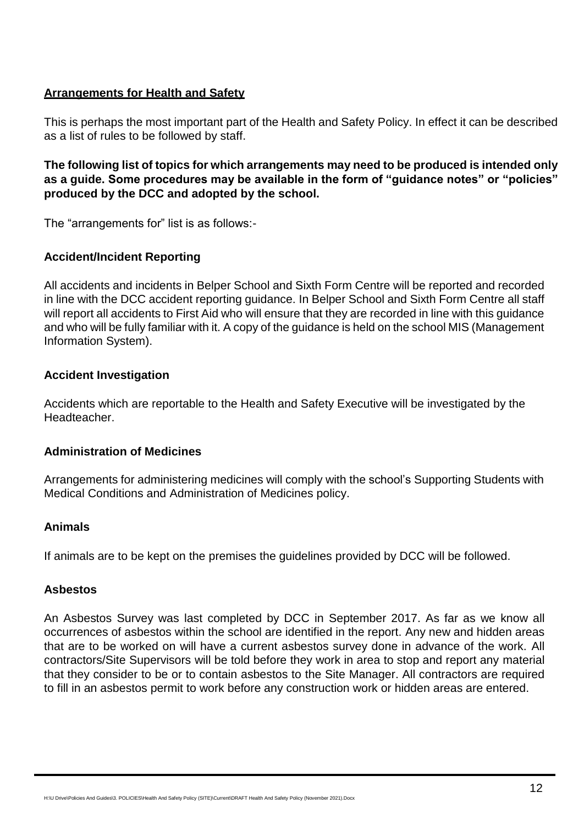# **Arrangements for Health and Safety**

This is perhaps the most important part of the Health and Safety Policy. In effect it can be described as a list of rules to be followed by staff.

**The following list of topics for which arrangements may need to be produced is intended only as a guide. Some procedures may be available in the form of "guidance notes" or "policies" produced by the DCC and adopted by the school.**

The "arrangements for" list is as follows:-

# **Accident/Incident Reporting**

All accidents and incidents in Belper School and Sixth Form Centre will be reported and recorded in line with the DCC accident reporting guidance. In Belper School and Sixth Form Centre all staff will report all accidents to First Aid who will ensure that they are recorded in line with this guidance and who will be fully familiar with it. A copy of the guidance is held on the school MIS (Management Information System).

# **Accident Investigation**

Accidents which are reportable to the Health and Safety Executive will be investigated by the Headteacher.

# **Administration of Medicines**

Arrangements for administering medicines will comply with the school's Supporting Students with Medical Conditions and Administration of Medicines policy.

# **Animals**

If animals are to be kept on the premises the guidelines provided by DCC will be followed.

#### **Asbestos**

An Asbestos Survey was last completed by DCC in September 2017. As far as we know all occurrences of asbestos within the school are identified in the report. Any new and hidden areas that are to be worked on will have a current asbestos survey done in advance of the work. All contractors/Site Supervisors will be told before they work in area to stop and report any material that they consider to be or to contain asbestos to the Site Manager. All contractors are required to fill in an asbestos permit to work before any construction work or hidden areas are entered.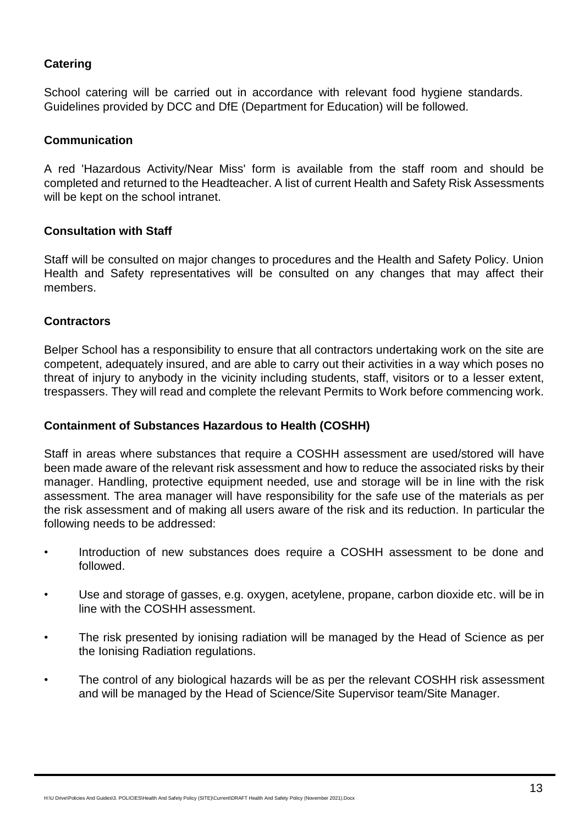# **Catering**

School catering will be carried out in accordance with relevant food hygiene standards. Guidelines provided by DCC and DfE (Department for Education) will be followed.

### **Communication**

A red 'Hazardous Activity/Near Miss' form is available from the staff room and should be completed and returned to the Headteacher. A list of current Health and Safety Risk Assessments will be kept on the school intranet.

#### **Consultation with Staff**

Staff will be consulted on major changes to procedures and the Health and Safety Policy. Union Health and Safety representatives will be consulted on any changes that may affect their members.

#### **Contractors**

Belper School has a responsibility to ensure that all contractors undertaking work on the site are competent, adequately insured, and are able to carry out their activities in a way which poses no threat of injury to anybody in the vicinity including students, staff, visitors or to a lesser extent, trespassers. They will read and complete the relevant Permits to Work before commencing work.

#### **Containment of Substances Hazardous to Health (COSHH)**

Staff in areas where substances that require a COSHH assessment are used/stored will have been made aware of the relevant risk assessment and how to reduce the associated risks by their manager. Handling, protective equipment needed, use and storage will be in line with the risk assessment. The area manager will have responsibility for the safe use of the materials as per the risk assessment and of making all users aware of the risk and its reduction. In particular the following needs to be addressed:

- Introduction of new substances does require a COSHH assessment to be done and followed.
- Use and storage of gasses, e.g. oxygen, acetylene, propane, carbon dioxide etc. will be in line with the COSHH assessment.
- The risk presented by ionising radiation will be managed by the Head of Science as per the Ionising Radiation regulations.
- The control of any biological hazards will be as per the relevant COSHH risk assessment and will be managed by the Head of Science/Site Supervisor team/Site Manager.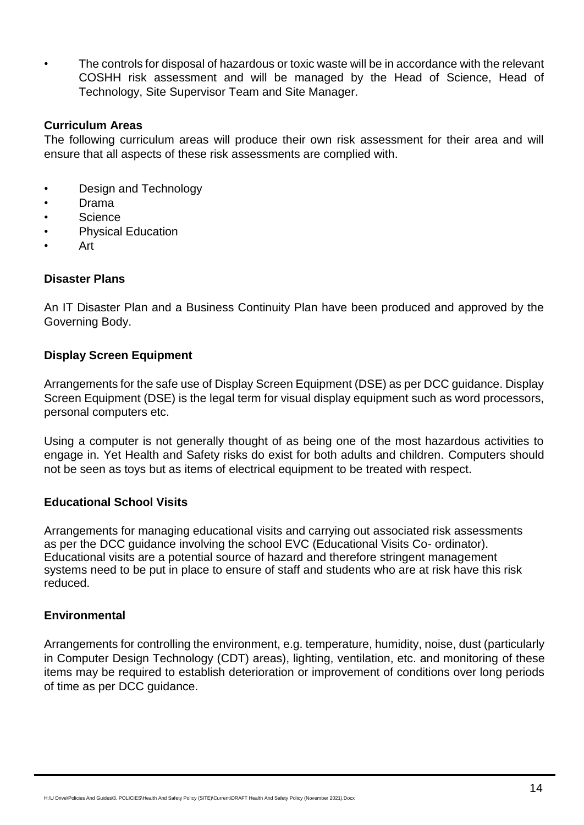• The controls for disposal of hazardous or toxic waste will be in accordance with the relevant COSHH risk assessment and will be managed by the Head of Science, Head of Technology, Site Supervisor Team and Site Manager.

#### **Curriculum Areas**

The following curriculum areas will produce their own risk assessment for their area and will ensure that all aspects of these risk assessments are complied with.

- Design and Technology
- Drama
- Science
- Physical Education
- Art

# **Disaster Plans**

An IT Disaster Plan and a Business Continuity Plan have been produced and approved by the Governing Body.

# **Display Screen Equipment**

Arrangements for the safe use of Display Screen Equipment (DSE) as per DCC guidance. Display Screen Equipment (DSE) is the legal term for visual display equipment such as word processors, personal computers etc.

Using a computer is not generally thought of as being one of the most hazardous activities to engage in. Yet Health and Safety risks do exist for both adults and children. Computers should not be seen as toys but as items of electrical equipment to be treated with respect.

# **Educational School Visits**

Arrangements for managing educational visits and carrying out associated risk assessments as per the DCC guidance involving the school EVC (Educational Visits Co- ordinator). Educational visits are a potential source of hazard and therefore stringent management systems need to be put in place to ensure of staff and students who are at risk have this risk reduced.

#### **Environmental**

Arrangements for controlling the environment, e.g. temperature, humidity, noise, dust (particularly in Computer Design Technology (CDT) areas), lighting, ventilation, etc. and monitoring of these items may be required to establish deterioration or improvement of conditions over long periods of time as per DCC guidance.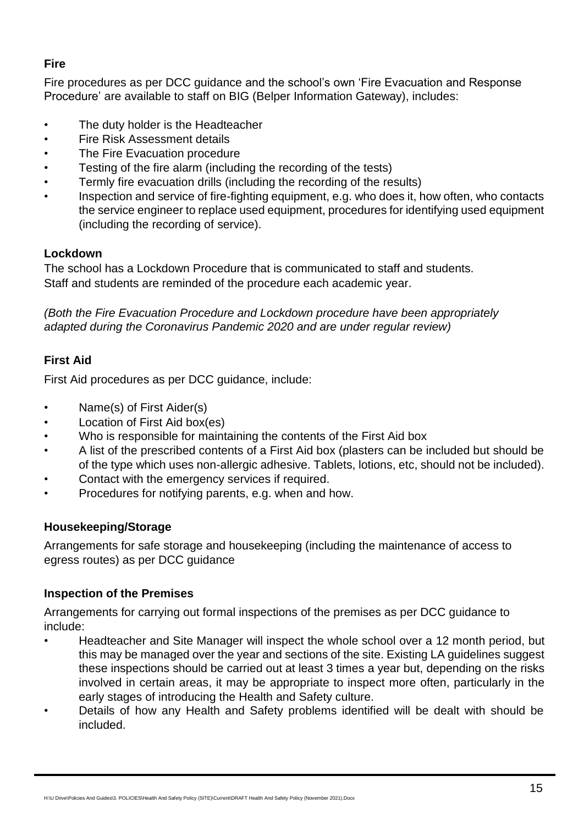# **Fire**

Fire procedures as per DCC guidance and the school's own 'Fire Evacuation and Response Procedure' are available to staff on BIG (Belper Information Gateway), includes:

- The duty holder is the Headteacher
- Fire Risk Assessment details
- The Fire Evacuation procedure
- Testing of the fire alarm (including the recording of the tests)
- Termly fire evacuation drills (including the recording of the results)
- Inspection and service of fire-fighting equipment, e.g. who does it, how often, who contacts the service engineer to replace used equipment, procedures for identifying used equipment (including the recording of service).

# **Lockdown**

The school has a Lockdown Procedure that is communicated to staff and students. Staff and students are reminded of the procedure each academic year.

*(Both the Fire Evacuation Procedure and Lockdown procedure have been appropriately adapted during the Coronavirus Pandemic 2020 and are under regular review)*

# **First Aid**

First Aid procedures as per DCC guidance, include:

- Name(s) of First Aider(s)
- Location of First Aid box(es)
- Who is responsible for maintaining the contents of the First Aid box
- A list of the prescribed contents of a First Aid box (plasters can be included but should be of the type which uses non-allergic adhesive. Tablets, lotions, etc, should not be included).
- Contact with the emergency services if required.
- Procedures for notifying parents, e.g. when and how.

# **Housekeeping/Storage**

Arrangements for safe storage and housekeeping (including the maintenance of access to egress routes) as per DCC guidance

# **Inspection of the Premises**

Arrangements for carrying out formal inspections of the premises as per DCC guidance to include:

- Headteacher and Site Manager will inspect the whole school over a 12 month period, but this may be managed over the year and sections of the site. Existing LA guidelines suggest these inspections should be carried out at least 3 times a year but, depending on the risks involved in certain areas, it may be appropriate to inspect more often, particularly in the early stages of introducing the Health and Safety culture.
- Details of how any Health and Safety problems identified will be dealt with should be included.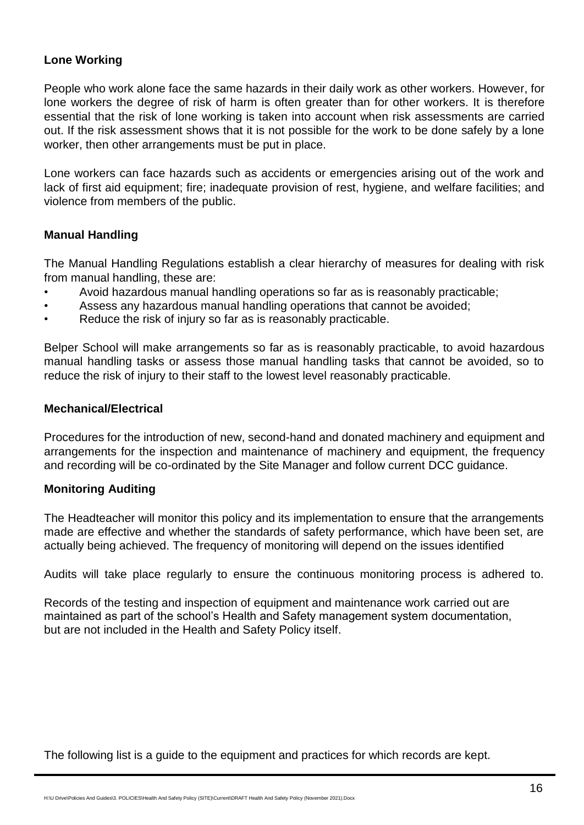# **Lone Working**

People who work alone face the same hazards in their daily work as other workers. However, for lone workers the degree of risk of harm is often greater than for other workers. It is therefore essential that the risk of lone working is taken into account when risk assessments are carried out. If the risk assessment shows that it is not possible for the work to be done safely by a lone worker, then other arrangements must be put in place.

Lone workers can face hazards such as accidents or emergencies arising out of the work and lack of first aid equipment; fire; inadequate provision of rest, hygiene, and welfare facilities; and violence from members of the public.

# **Manual Handling**

The Manual Handling Regulations establish a clear hierarchy of measures for dealing with risk from manual handling, these are:

- Avoid hazardous manual handling operations so far as is reasonably practicable;
- Assess any hazardous manual handling operations that cannot be avoided;
- Reduce the risk of injury so far as is reasonably practicable.

Belper School will make arrangements so far as is reasonably practicable, to avoid hazardous manual handling tasks or assess those manual handling tasks that cannot be avoided, so to reduce the risk of injury to their staff to the lowest level reasonably practicable.

### **Mechanical/Electrical**

Procedures for the introduction of new, second-hand and donated machinery and equipment and arrangements for the inspection and maintenance of machinery and equipment, the frequency and recording will be co-ordinated by the Site Manager and follow current DCC guidance.

# **Monitoring Auditing**

The Headteacher will monitor this policy and its implementation to ensure that the arrangements made are effective and whether the standards of safety performance, which have been set, are actually being achieved. The frequency of monitoring will depend on the issues identified

Audits will take place regularly to ensure the continuous monitoring process is adhered to.

Records of the testing and inspection of equipment and maintenance work carried out are maintained as part of the school's Health and Safety management system documentation, but are not included in the Health and Safety Policy itself.

The following list is a guide to the equipment and practices for which records are kept.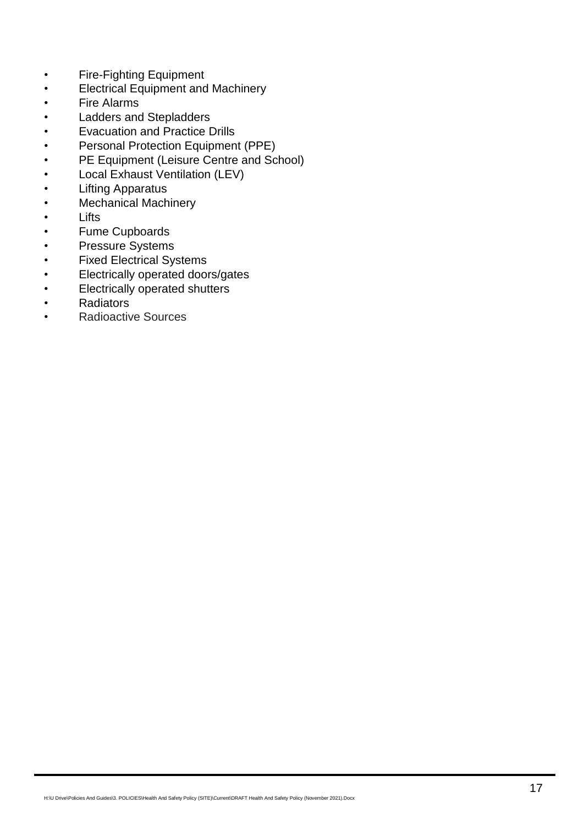- Fire-Fighting Equipment
- Electrical Equipment and Machinery
- Fire Alarms
- Ladders and Stepladders
- Evacuation and Practice Drills
- Personal Protection Equipment (PPE)
- PE Equipment (Leisure Centre and School)
- Local Exhaust Ventilation (LEV)
- Lifting Apparatus
- Mechanical Machinery
- Lifts
- Fume Cupboards
- Pressure Systems
- Fixed Electrical Systems
- Electrically operated doors/gates
- Electrically operated shutters
- Radiators
- Radioactive Sources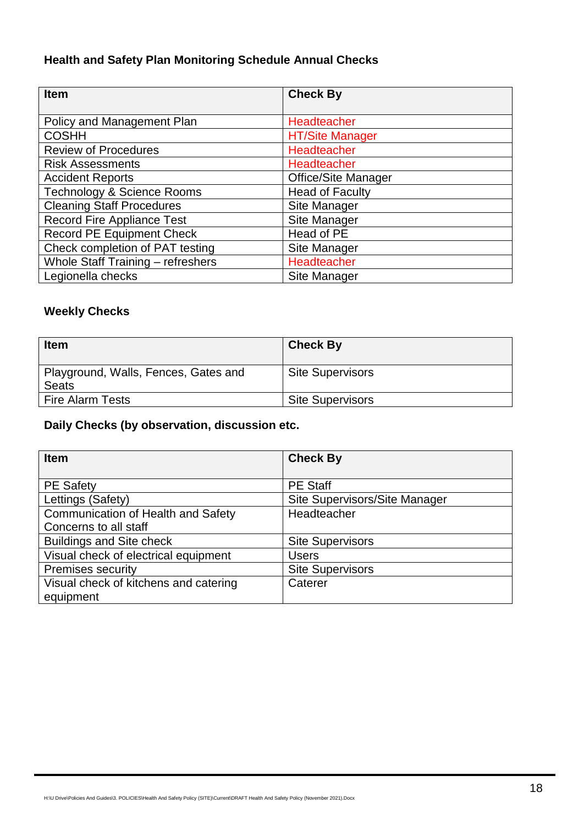# **Health and Safety Plan Monitoring Schedule Annual Checks**

| <b>Item</b>                           | <b>Check By</b>            |
|---------------------------------------|----------------------------|
|                                       |                            |
| Policy and Management Plan            | Headteacher                |
| <b>COSHH</b>                          | <b>HT/Site Manager</b>     |
| <b>Review of Procedures</b>           | Headteacher                |
| <b>Risk Assessments</b>               | Headteacher                |
| <b>Accident Reports</b>               | <b>Office/Site Manager</b> |
| <b>Technology &amp; Science Rooms</b> | <b>Head of Faculty</b>     |
| <b>Cleaning Staff Procedures</b>      | Site Manager               |
| <b>Record Fire Appliance Test</b>     | Site Manager               |
| <b>Record PE Equipment Check</b>      | Head of PE                 |
| Check completion of PAT testing       | Site Manager               |
| Whole Staff Training - refreshers     | Headteacher                |
| Legionella checks                     | Site Manager               |

# **Weekly Checks**

| <b>Item</b>                                          | <b>Check By</b>         |
|------------------------------------------------------|-------------------------|
| Playground, Walls, Fences, Gates and<br><b>Seats</b> | <b>Site Supervisors</b> |
| <b>Fire Alarm Tests</b>                              | <b>Site Supervisors</b> |

# **Daily Checks (by observation, discussion etc.**

| <b>Item</b>                               | <b>Check By</b>               |
|-------------------------------------------|-------------------------------|
|                                           |                               |
| <b>PE Safety</b>                          | <b>PE Staff</b>               |
| Lettings (Safety)                         | Site Supervisors/Site Manager |
| <b>Communication of Health and Safety</b> | Headteacher                   |
| Concerns to all staff                     |                               |
| <b>Buildings and Site check</b>           | <b>Site Supervisors</b>       |
| Visual check of electrical equipment      | <b>Users</b>                  |
| <b>Premises security</b>                  | <b>Site Supervisors</b>       |
| Visual check of kitchens and catering     | Caterer                       |
| equipment                                 |                               |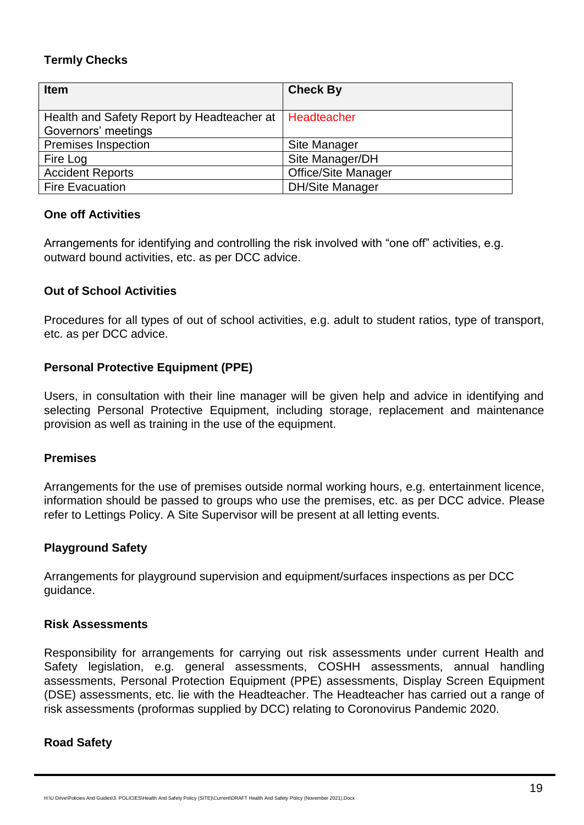# **Termly Checks**

| <b>Item</b>                                                                     | <b>Check By</b>            |
|---------------------------------------------------------------------------------|----------------------------|
| Health and Safety Report by Headteacher at   Headteacher<br>Governors' meetings |                            |
| Premises Inspection                                                             | Site Manager               |
| Fire Log                                                                        | Site Manager/DH            |
| <b>Accident Reports</b>                                                         | <b>Office/Site Manager</b> |
| <b>Fire Evacuation</b>                                                          | <b>DH/Site Manager</b>     |

# **One off Activities**

Arrangements for identifying and controlling the risk involved with "one off" activities, e.g. outward bound activities, etc. as per DCC advice.

# **Out of School Activities**

Procedures for all types of out of school activities, e.g. adult to student ratios, type of transport, etc. as per DCC advice.

# **Personal Protective Equipment (PPE)**

Users, in consultation with their line manager will be given help and advice in identifying and selecting Personal Protective Equipment, including storage, replacement and maintenance provision as well as training in the use of the equipment.

# **Premises**

Arrangements for the use of premises outside normal working hours, e.g. entertainment licence, information should be passed to groups who use the premises, etc. as per DCC advice. Please refer to Lettings Policy. A Site Supervisor will be present at all letting events.

# **Playground Safety**

Arrangements for playground supervision and equipment/surfaces inspections as per DCC guidance.

# **Risk Assessments**

Responsibility for arrangements for carrying out risk assessments under current Health and Safety legislation, e.g. general assessments, COSHH assessments, annual handling assessments, Personal Protection Equipment (PPE) assessments, Display Screen Equipment (DSE) assessments, etc. lie with the Headteacher. The Headteacher has carried out a range of risk assessments (proformas supplied by DCC) relating to Coronovirus Pandemic 2020.

# **Road Safety**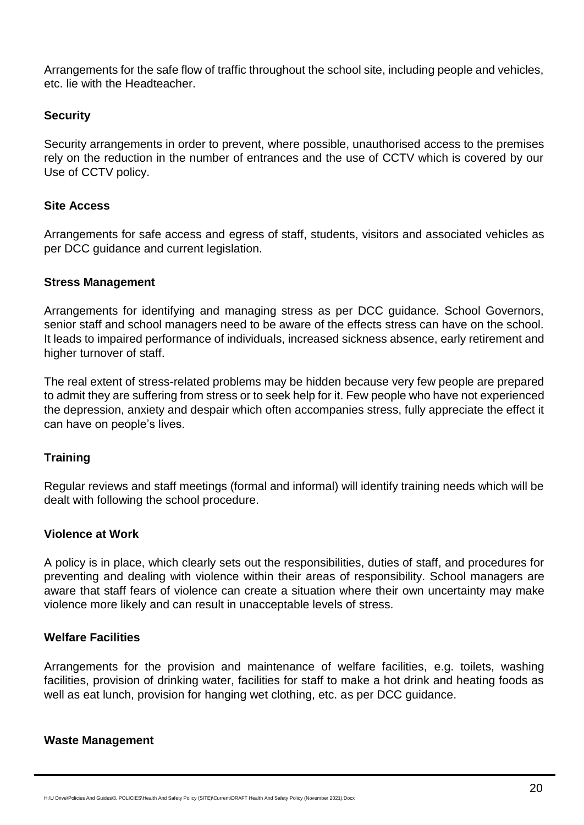Arrangements for the safe flow of traffic throughout the school site, including people and vehicles, etc. lie with the Headteacher.

# **Security**

Security arrangements in order to prevent, where possible, unauthorised access to the premises rely on the reduction in the number of entrances and the use of CCTV which is covered by our Use of CCTV policy.

# **Site Access**

Arrangements for safe access and egress of staff, students, visitors and associated vehicles as per DCC guidance and current legislation.

# **Stress Management**

Arrangements for identifying and managing stress as per DCC guidance. School Governors, senior staff and school managers need to be aware of the effects stress can have on the school. It leads to impaired performance of individuals, increased sickness absence, early retirement and higher turnover of staff.

The real extent of stress-related problems may be hidden because very few people are prepared to admit they are suffering from stress or to seek help for it. Few people who have not experienced the depression, anxiety and despair which often accompanies stress, fully appreciate the effect it can have on people's lives.

# **Training**

Regular reviews and staff meetings (formal and informal) will identify training needs which will be dealt with following the school procedure.

# **Violence at Work**

A policy is in place, which clearly sets out the responsibilities, duties of staff, and procedures for preventing and dealing with violence within their areas of responsibility. School managers are aware that staff fears of violence can create a situation where their own uncertainty may make violence more likely and can result in unacceptable levels of stress.

# **Welfare Facilities**

Arrangements for the provision and maintenance of welfare facilities, e.g. toilets, washing facilities, provision of drinking water, facilities for staff to make a hot drink and heating foods as well as eat lunch, provision for hanging wet clothing, etc. as per DCC guidance.

#### **Waste Management**